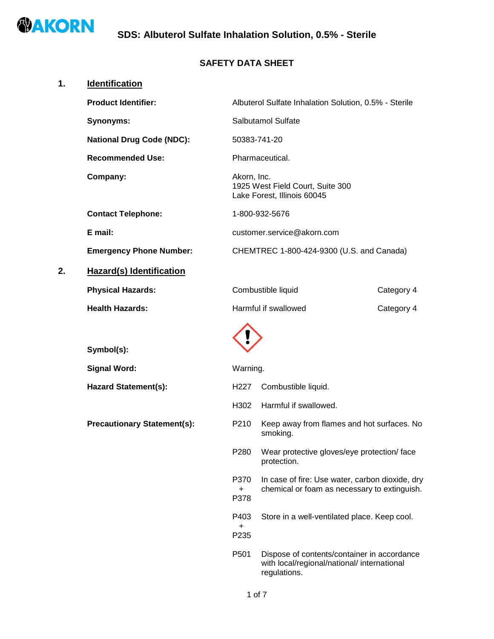

## **SAFETY DATA SHEET**

| 1. | <b>Identification</b>              |                     |                                                                                                            |            |
|----|------------------------------------|---------------------|------------------------------------------------------------------------------------------------------------|------------|
|    | <b>Product Identifier:</b>         |                     | Albuterol Sulfate Inhalation Solution, 0.5% - Sterile                                                      |            |
|    | <b>Synonyms:</b>                   |                     | Salbutamol Sulfate                                                                                         |            |
|    | <b>National Drug Code (NDC):</b>   | 50383-741-20        |                                                                                                            |            |
|    | <b>Recommended Use:</b>            |                     | Pharmaceutical.                                                                                            |            |
|    | Company:                           | Akorn, Inc.         | 1925 West Field Court, Suite 300<br>Lake Forest, Illinois 60045                                            |            |
|    | <b>Contact Telephone:</b>          |                     | 1-800-932-5676                                                                                             |            |
|    | E mail:                            |                     | customer.service@akorn.com                                                                                 |            |
|    | <b>Emergency Phone Number:</b>     |                     | CHEMTREC 1-800-424-9300 (U.S. and Canada)                                                                  |            |
| 2. | <b>Hazard(s) Identification</b>    |                     |                                                                                                            |            |
|    | <b>Physical Hazards:</b>           |                     | Combustible liquid                                                                                         | Category 4 |
|    | <b>Health Hazards:</b>             |                     | Harmful if swallowed                                                                                       | Category 4 |
|    | Symbol(s):                         |                     |                                                                                                            |            |
|    | <b>Signal Word:</b>                | Warning.            |                                                                                                            |            |
|    | <b>Hazard Statement(s):</b>        | H <sub>227</sub>    | Combustible liquid.                                                                                        |            |
|    |                                    | H302                | Harmful if swallowed.                                                                                      |            |
|    | <b>Precautionary Statement(s):</b> | P210                | Keep away from flames and hot surfaces. No<br>smoking.                                                     |            |
|    |                                    | P280                | Wear protective gloves/eye protection/ face<br>protection.                                                 |            |
|    |                                    | P370<br>$+$<br>P378 | In case of fire: Use water, carbon dioxide, dry<br>chemical or foam as necessary to extinguish.            |            |
|    |                                    | P403<br>+<br>P235   | Store in a well-ventilated place. Keep cool.                                                               |            |
|    |                                    | P501                | Dispose of contents/container in accordance<br>with local/regional/national/ international<br>regulations. |            |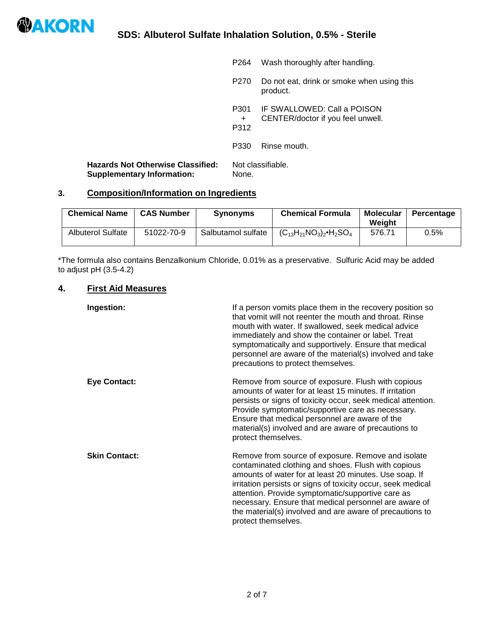

|                                                                               | P <sub>264</sub>    | Wash thoroughly after handling.                                  |
|-------------------------------------------------------------------------------|---------------------|------------------------------------------------------------------|
|                                                                               | P270                | Do not eat, drink or smoke when using this<br>product.           |
|                                                                               | P301<br>$+$<br>P312 | IF SWALLOWED: Call a POISON<br>CENTER/doctor if you feel unwell. |
|                                                                               | P330                | Rinse mouth.                                                     |
| <b>Hazards Not Otherwise Classified:</b><br><b>Supplementary Information:</b> | None.               | Not classifiable.                                                |

# **3. Composition/Information on Ingredients**

| <b>Chemical Name</b>     | <b>CAS Number</b> | <b>Synonyms</b>    | <b>Chemical Formula</b>               | Molecular<br>Weight | Percentage |
|--------------------------|-------------------|--------------------|---------------------------------------|---------------------|------------|
| <b>Albuterol Sulfate</b> | 51022-70-9        | Salbutamol sulfate | $(C_{13}H_{21}NO_3)_2 \cdot H_2 SO_4$ | 576.71              | 0.5%       |

\*The formula also contains Benzalkonium Chloride, 0.01% as a preservative. Sulfuric Acid may be added to adjust pH (3.5-4.2)

## **4. First Aid Measures**

| Ingestion:           | If a person vomits place them in the recovery position so<br>that vomit will not reenter the mouth and throat. Rinse<br>mouth with water. If swallowed, seek medical advice<br>immediately and show the container or label. Treat<br>symptomatically and supportively. Ensure that medical<br>personnel are aware of the material(s) involved and take<br>precautions to protect themselves.                                         |
|----------------------|--------------------------------------------------------------------------------------------------------------------------------------------------------------------------------------------------------------------------------------------------------------------------------------------------------------------------------------------------------------------------------------------------------------------------------------|
| <b>Eye Contact:</b>  | Remove from source of exposure. Flush with copious<br>amounts of water for at least 15 minutes. If irritation<br>persists or signs of toxicity occur, seek medical attention.<br>Provide symptomatic/supportive care as necessary.<br>Ensure that medical personnel are aware of the<br>material(s) involved and are aware of precautions to<br>protect themselves.                                                                  |
| <b>Skin Contact:</b> | Remove from source of exposure. Remove and isolate<br>contaminated clothing and shoes. Flush with copious<br>amounts of water for at least 20 minutes. Use soap. If<br>irritation persists or signs of toxicity occur, seek medical<br>attention. Provide symptomatic/supportive care as<br>necessary. Ensure that medical personnel are aware of<br>the material(s) involved and are aware of precautions to<br>protect themselves. |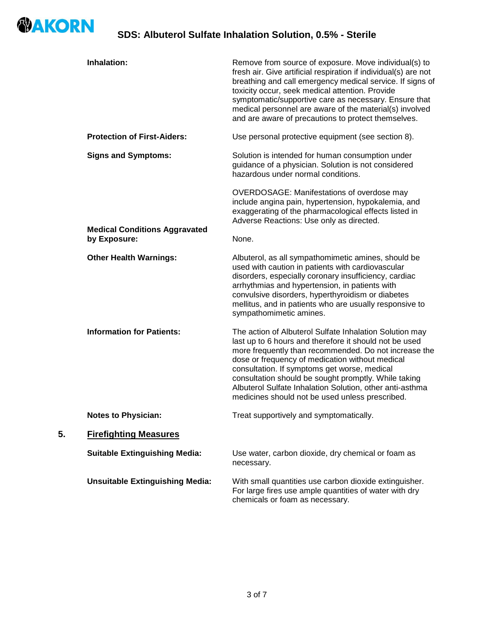

|    | Inhalation:                                          | Remove from source of exposure. Move individual(s) to<br>fresh air. Give artificial respiration if individual(s) are not<br>breathing and call emergency medical service. If signs of<br>toxicity occur, seek medical attention. Provide<br>symptomatic/supportive care as necessary. Ensure that<br>medical personnel are aware of the material(s) involved<br>and are aware of precautions to protect themselves.                                  |
|----|------------------------------------------------------|------------------------------------------------------------------------------------------------------------------------------------------------------------------------------------------------------------------------------------------------------------------------------------------------------------------------------------------------------------------------------------------------------------------------------------------------------|
|    | <b>Protection of First-Aiders:</b>                   | Use personal protective equipment (see section 8).                                                                                                                                                                                                                                                                                                                                                                                                   |
|    | <b>Signs and Symptoms:</b>                           | Solution is intended for human consumption under<br>guidance of a physician. Solution is not considered<br>hazardous under normal conditions.                                                                                                                                                                                                                                                                                                        |
|    |                                                      | OVERDOSAGE: Manifestations of overdose may<br>include angina pain, hypertension, hypokalemia, and<br>exaggerating of the pharmacological effects listed in<br>Adverse Reactions: Use only as directed.                                                                                                                                                                                                                                               |
|    | <b>Medical Conditions Aggravated</b><br>by Exposure: | None.                                                                                                                                                                                                                                                                                                                                                                                                                                                |
|    | <b>Other Health Warnings:</b>                        | Albuterol, as all sympathomimetic amines, should be<br>used with caution in patients with cardiovascular<br>disorders, especially coronary insufficiency, cardiac<br>arrhythmias and hypertension, in patients with<br>convulsive disorders, hyperthyroidism or diabetes<br>mellitus, and in patients who are usually responsive to<br>sympathomimetic amines.                                                                                       |
|    | <b>Information for Patients:</b>                     | The action of Albuterol Sulfate Inhalation Solution may<br>last up to 6 hours and therefore it should not be used<br>more frequently than recommended. Do not increase the<br>dose or frequency of medication without medical<br>consultation. If symptoms get worse, medical<br>consultation should be sought promptly. While taking<br>Albuterol Sulfate Inhalation Solution, other anti-asthma<br>medicines should not be used unless prescribed. |
|    | <b>Notes to Physician:</b>                           | Treat supportively and symptomatically.                                                                                                                                                                                                                                                                                                                                                                                                              |
| 5. | <b>Firefighting Measures</b>                         |                                                                                                                                                                                                                                                                                                                                                                                                                                                      |
|    | <b>Suitable Extinguishing Media:</b>                 | Use water, carbon dioxide, dry chemical or foam as<br>necessary.                                                                                                                                                                                                                                                                                                                                                                                     |
|    | <b>Unsuitable Extinguishing Media:</b>               | With small quantities use carbon dioxide extinguisher.<br>For large fires use ample quantities of water with dry<br>chemicals or foam as necessary.                                                                                                                                                                                                                                                                                                  |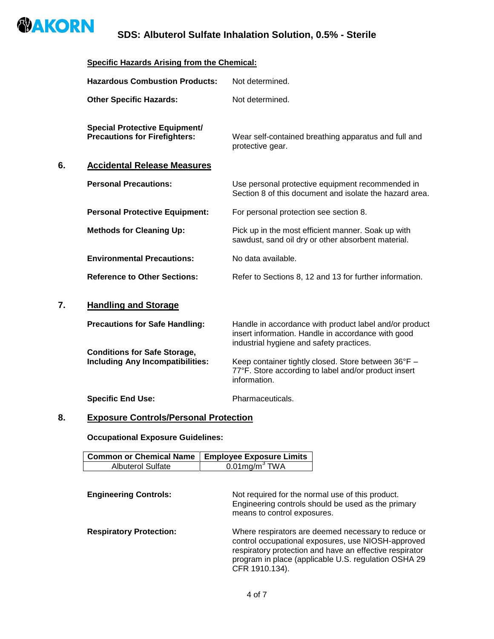

# **SDS: Albuterol Sulfate Inhalation Solution, 0.5% - Sterile**

## **Specific Hazards Arising from the Chemical:**

|    | <b>Hazardous Combustion Products:</b>                                          | Not determined.                                                                                                                                          |
|----|--------------------------------------------------------------------------------|----------------------------------------------------------------------------------------------------------------------------------------------------------|
|    | <b>Other Specific Hazards:</b>                                                 | Not determined.                                                                                                                                          |
|    | <b>Special Protective Equipment/</b><br><b>Precautions for Firefighters:</b>   | Wear self-contained breathing apparatus and full and<br>protective gear.                                                                                 |
| 6. | <b>Accidental Release Measures</b>                                             |                                                                                                                                                          |
|    | <b>Personal Precautions:</b>                                                   | Use personal protective equipment recommended in<br>Section 8 of this document and isolate the hazard area.                                              |
|    | <b>Personal Protective Equipment:</b>                                          | For personal protection see section 8.                                                                                                                   |
|    | <b>Methods for Cleaning Up:</b>                                                | Pick up in the most efficient manner. Soak up with<br>sawdust, sand oil dry or other absorbent material.                                                 |
|    | <b>Environmental Precautions:</b>                                              | No data available.                                                                                                                                       |
|    | <b>Reference to Other Sections:</b>                                            | Refer to Sections 8, 12 and 13 for further information.                                                                                                  |
| 7. | <b>Handling and Storage</b>                                                    |                                                                                                                                                          |
|    | <b>Precautions for Safe Handling:</b>                                          | Handle in accordance with product label and/or product<br>insert information. Handle in accordance with good<br>industrial hygiene and safety practices. |
|    | <b>Conditions for Safe Storage,</b><br><b>Including Any Incompatibilities:</b> | Keep container tightly closed. Store between 36°F -<br>77°F. Store according to label and/or product insert<br>information.                              |
|    | <b>Specific End Use:</b>                                                       | Pharmaceuticals.                                                                                                                                         |

## **8. Exposure Controls/Personal Protection**

**Occupational Exposure Guidelines:**

| Common or Chemical Name   Employee Exposure Limits |                     |
|----------------------------------------------------|---------------------|
| Albuterol Sulfate                                  | $0.01$ mg/m $3$ TWA |

| <b>Engineering Controls:</b>   | Not required for the normal use of this product.<br>Engineering controls should be used as the primary<br>means to control exposures.                                                                                                          |
|--------------------------------|------------------------------------------------------------------------------------------------------------------------------------------------------------------------------------------------------------------------------------------------|
| <b>Respiratory Protection:</b> | Where respirators are deemed necessary to reduce or<br>control occupational exposures, use NIOSH-approved<br>respiratory protection and have an effective respirator<br>program in place (applicable U.S. regulation OSHA 29<br>CFR 1910.134). |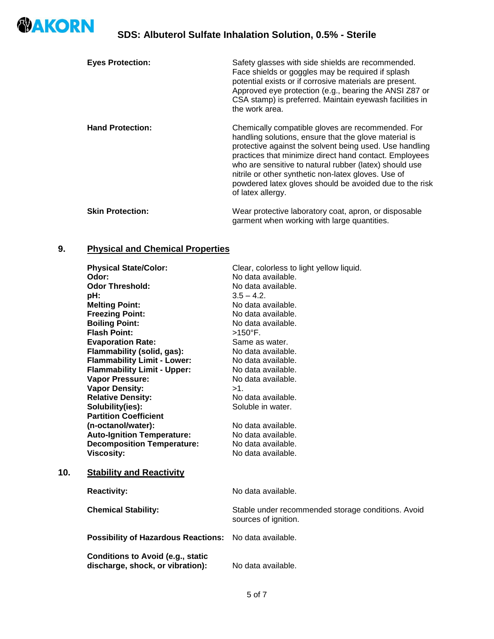

**10.** 

| <b>Eyes Protection:</b> | Safety glasses with side shields are recommended.<br>Face shields or goggles may be required if splash<br>potential exists or if corrosive materials are present.<br>Approved eye protection (e.g., bearing the ANSI Z87 or<br>CSA stamp) is preferred. Maintain eyewash facilities in<br>the work area.                                                                                                                         |
|-------------------------|----------------------------------------------------------------------------------------------------------------------------------------------------------------------------------------------------------------------------------------------------------------------------------------------------------------------------------------------------------------------------------------------------------------------------------|
| <b>Hand Protection:</b> | Chemically compatible gloves are recommended. For<br>handling solutions, ensure that the glove material is<br>protective against the solvent being used. Use handling<br>practices that minimize direct hand contact. Employees<br>who are sensitive to natural rubber (latex) should use<br>nitrile or other synthetic non-latex gloves. Use of<br>powdered latex gloves should be avoided due to the risk<br>of latex allergy. |
| <b>Skin Protection:</b> | Wear protective laboratory coat, apron, or disposable<br>garment when working with large quantities.                                                                                                                                                                                                                                                                                                                             |

# **9. Physical and Chemical Properties**

| <b>Physical State/Color:</b>                                                 | Clear, colorless to light yellow liquid.                                   |
|------------------------------------------------------------------------------|----------------------------------------------------------------------------|
| Odor:                                                                        | No data available.                                                         |
| <b>Odor Threshold:</b>                                                       | No data available.                                                         |
| pH:                                                                          | $3.5 - 4.2$ .                                                              |
| <b>Melting Point:</b>                                                        | No data available.                                                         |
| <b>Freezing Point:</b>                                                       | No data available.                                                         |
| <b>Boiling Point:</b>                                                        | No data available.                                                         |
| <b>Flash Point:</b>                                                          | $>150^{\circ}$ F.                                                          |
| <b>Evaporation Rate:</b>                                                     | Same as water.                                                             |
| Flammability (solid, gas):                                                   | No data available.                                                         |
| <b>Flammability Limit - Lower:</b>                                           | No data available.                                                         |
| <b>Flammability Limit - Upper:</b>                                           | No data available.                                                         |
| <b>Vapor Pressure:</b>                                                       | No data available.                                                         |
| <b>Vapor Density:</b>                                                        | $>1$ .                                                                     |
| <b>Relative Density:</b>                                                     | No data available.                                                         |
| Solubility(ies):                                                             | Soluble in water.                                                          |
| <b>Partition Coefficient</b>                                                 |                                                                            |
| (n-octanol/water):                                                           | No data available.                                                         |
| <b>Auto-Ignition Temperature:</b>                                            | No data available.                                                         |
| <b>Decomposition Temperature:</b>                                            | No data available.                                                         |
| <b>Viscosity:</b>                                                            | No data available.                                                         |
| <b>Stability and Reactivity</b>                                              |                                                                            |
| <b>Reactivity:</b>                                                           | No data available.                                                         |
|                                                                              |                                                                            |
| <b>Chemical Stability:</b>                                                   | Stable under recommended storage conditions. Avoid<br>sources of ignition. |
| <b>Possibility of Hazardous Reactions:</b>                                   | No data available.                                                         |
| <b>Conditions to Avoid (e.g., static</b><br>discharge, shock, or vibration): | No data available.                                                         |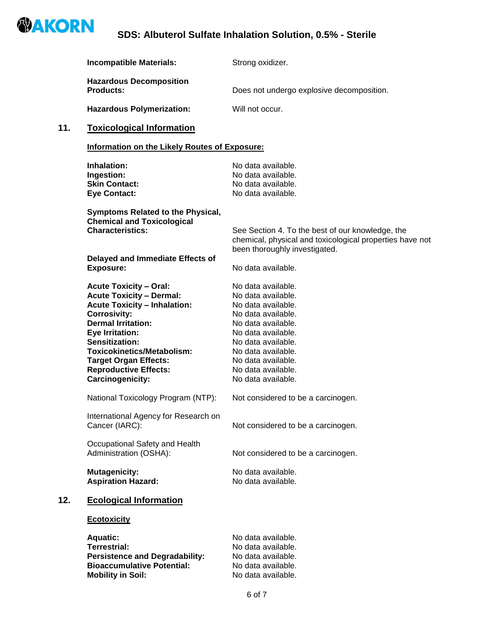

|     | <b>Incompatible Materials:</b>                                                                                                                                                                                                                                                                                            | Strong oxidizer.                                                                                                                                                                                                                               |
|-----|---------------------------------------------------------------------------------------------------------------------------------------------------------------------------------------------------------------------------------------------------------------------------------------------------------------------------|------------------------------------------------------------------------------------------------------------------------------------------------------------------------------------------------------------------------------------------------|
|     | <b>Hazardous Decomposition</b><br><b>Products:</b>                                                                                                                                                                                                                                                                        | Does not undergo explosive decomposition.                                                                                                                                                                                                      |
|     | <b>Hazardous Polymerization:</b>                                                                                                                                                                                                                                                                                          | Will not occur.                                                                                                                                                                                                                                |
| 11. | <b>Toxicological Information</b>                                                                                                                                                                                                                                                                                          |                                                                                                                                                                                                                                                |
|     | Information on the Likely Routes of Exposure:                                                                                                                                                                                                                                                                             |                                                                                                                                                                                                                                                |
|     | Inhalation:<br>Ingestion:<br><b>Skin Contact:</b><br><b>Eye Contact:</b>                                                                                                                                                                                                                                                  | No data available.<br>No data available.<br>No data available.<br>No data available.                                                                                                                                                           |
|     | Symptoms Related to the Physical,<br><b>Chemical and Toxicological</b><br><b>Characteristics:</b><br>Delayed and Immediate Effects of                                                                                                                                                                                     | See Section 4. To the best of our knowledge, the<br>chemical, physical and toxicological properties have not<br>been thoroughly investigated.                                                                                                  |
|     | <b>Exposure:</b>                                                                                                                                                                                                                                                                                                          | No data available.                                                                                                                                                                                                                             |
|     | <b>Acute Toxicity - Oral:</b><br><b>Acute Toxicity - Dermal:</b><br><b>Acute Toxicity - Inhalation:</b><br><b>Corrosivity:</b><br><b>Dermal Irritation:</b><br>Eye Irritation:<br>Sensitization:<br><b>Toxicokinetics/Metabolism:</b><br><b>Target Organ Effects:</b><br><b>Reproductive Effects:</b><br>Carcinogenicity: | No data available.<br>No data available.<br>No data available.<br>No data available.<br>No data available.<br>No data available.<br>No data available.<br>No data available.<br>No data available.<br>No data available.<br>No data available. |
|     | National Toxicology Program (NTP):                                                                                                                                                                                                                                                                                        | Not considered to be a carcinogen.                                                                                                                                                                                                             |
|     | International Agency for Research on<br>Cancer (IARC):                                                                                                                                                                                                                                                                    | Not considered to be a carcinogen.                                                                                                                                                                                                             |
|     | Occupational Safety and Health<br>Administration (OSHA):                                                                                                                                                                                                                                                                  | Not considered to be a carcinogen.                                                                                                                                                                                                             |
|     | <b>Mutagenicity:</b><br><b>Aspiration Hazard:</b>                                                                                                                                                                                                                                                                         | No data available.<br>No data available.                                                                                                                                                                                                       |
| 12. | <b>Ecological Information</b>                                                                                                                                                                                                                                                                                             |                                                                                                                                                                                                                                                |
|     | <b>Ecotoxicity</b>                                                                                                                                                                                                                                                                                                        |                                                                                                                                                                                                                                                |
|     | <b>Aquatic:</b><br><b>Terrestrial:</b><br><b>Persistence and Degradability:</b><br><b>Bioaccumulative Potential:</b><br><b>Mobility in Soil:</b>                                                                                                                                                                          | No data available.<br>No data available.<br>No data available.<br>No data available.<br>No data available.                                                                                                                                     |
|     |                                                                                                                                                                                                                                                                                                                           | 6 of 7                                                                                                                                                                                                                                         |